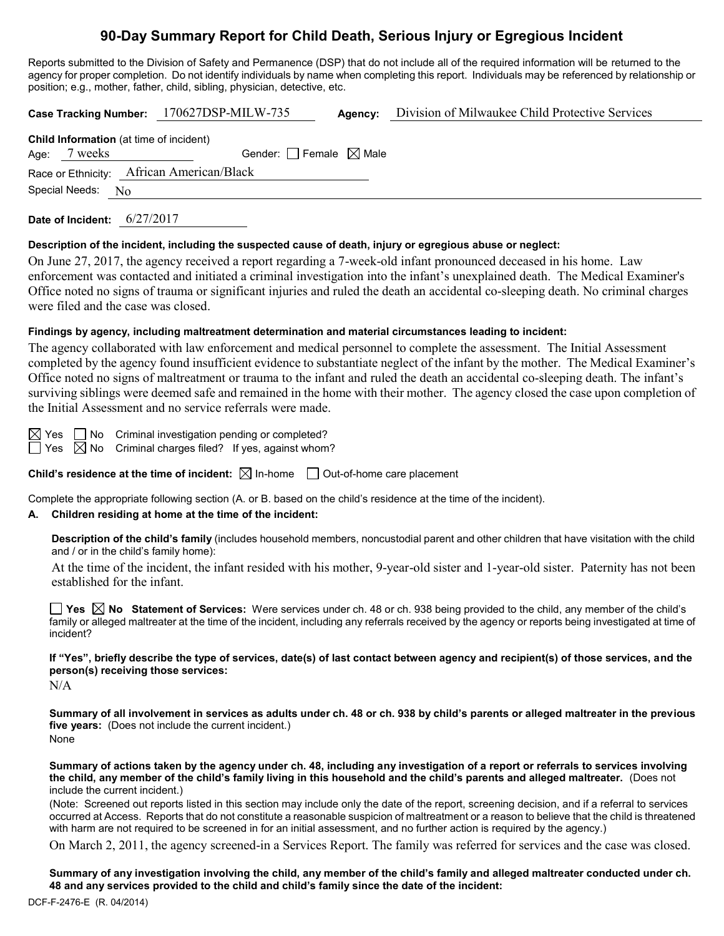# **90-Day Summary Report for Child Death, Serious Injury or Egregious Incident**

Reports submitted to the Division of Safety and Permanence (DSP) that do not include all of the required information will be returned to the agency for proper completion. Do not identify individuals by name when completing this report. Individuals may be referenced by relationship or position; e.g., mother, father, child, sibling, physician, detective, etc.

|  |                   |                                                | Case Tracking Number: 170627DSP-MILW-735 |  | Division of Milwaukee Child Protective Services |  |
|--|-------------------|------------------------------------------------|------------------------------------------|--|-------------------------------------------------|--|
|  | Age: 7 weeks      | <b>Child Information</b> (at time of incident) | Gender: Female $\boxtimes$ Male          |  |                                                 |  |
|  |                   | Race or Ethnicity: African American/Black      |                                          |  |                                                 |  |
|  | Special Needs: No |                                                |                                          |  |                                                 |  |

**Date of Incident:** 6/27/2017

#### **Description of the incident, including the suspected cause of death, injury or egregious abuse or neglect:**

On June 27, 2017, the agency received a report regarding a 7-week-old infant pronounced deceased in his home. Law enforcement was contacted and initiated a criminal investigation into the infant's unexplained death. The Medical Examiner's Office noted no signs of trauma or significant injuries and ruled the death an accidental co-sleeping death. No criminal charges were filed and the case was closed.

## **Findings by agency, including maltreatment determination and material circumstances leading to incident:**

The agency collaborated with law enforcement and medical personnel to complete the assessment. The Initial Assessment completed by the agency found insufficient evidence to substantiate neglect of the infant by the mother. The Medical Examiner's Office noted no signs of maltreatment or trauma to the infant and ruled the death an accidental co-sleeping death. The infant's surviving siblings were deemed safe and remained in the home with their mother. The agency closed the case upon completion of the Initial Assessment and no service referrals were made.

 $\boxtimes$  Yes  $\Box$  No Criminal investigation pending or completed?

 $\Box$  Yes  $\boxtimes$  No Criminal charges filed? If yes, against whom?

**Child's residence at the time of incident:**  $\boxtimes$  In-home  $\Box$  Out-of-home care placement

Complete the appropriate following section (A. or B. based on the child's residence at the time of the incident).

# **A. Children residing at home at the time of the incident:**

**Description of the child's family** (includes household members, noncustodial parent and other children that have visitation with the child and / or in the child's family home):

At the time of the incident, the infant resided with his mother, 9-year-old sister and 1-year-old sister. Paternity has not been established for the infant.

**Yes No Statement of Services:** Were services under ch. 48 or ch. 938 being provided to the child, any member of the child's family or alleged maltreater at the time of the incident, including any referrals received by the agency or reports being investigated at time of incident?

**If "Yes", briefly describe the type of services, date(s) of last contact between agency and recipient(s) of those services, and the person(s) receiving those services:**

N/A

**Summary of all involvement in services as adults under ch. 48 or ch. 938 by child's parents or alleged maltreater in the previous five years:** (Does not include the current incident.) None

**Summary of actions taken by the agency under ch. 48, including any investigation of a report or referrals to services involving the child, any member of the child's family living in this household and the child's parents and alleged maltreater.** (Does not include the current incident.)

(Note: Screened out reports listed in this section may include only the date of the report, screening decision, and if a referral to services occurred at Access. Reports that do not constitute a reasonable suspicion of maltreatment or a reason to believe that the child is threatened with harm are not required to be screened in for an initial assessment, and no further action is required by the agency.)

On March 2, 2011, the agency screened-in a Services Report. The family was referred for services and the case was closed.

**Summary of any investigation involving the child, any member of the child's family and alleged maltreater conducted under ch. 48 and any services provided to the child and child's family since the date of the incident:**